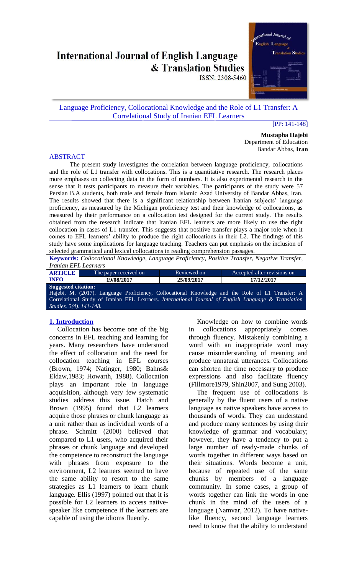# **International Journal of English Language** & Translation Studies

ISSN: 2308-5460

# Language Proficiency, Collocational Knowledge and the Role of L1 Transfer: A Correlational Study of Iranian EFL Learners

#### [PP: 141-148]

**Mustapha Hajebi** Department of Education Bandar Abbas, **Iran**

#### ABSTRACT

The present study investigates the correlation between language proficiency, collocations and the role of L1 transfer with collocations. This is a quantitative research. The research places more emphases on collecting data in the form of numbers. It is also experimental research in the sense that it tests participants to measure their variables. The participants of the study were 57 Persian B.A students, both male and female from Islamic Azad University of Bandar Abbas, Iran. The results showed that there is a significant relationship between Iranian subjects' language proficiency, as measured by the Michigan proficiency test and their knowledge of collocations, as measured by their performance on a collocation test designed for the current study. The results obtained from the research indicate that Iranian EFL learners are more likely to use the right collocation in cases of L1 transfer. This suggests that positive transfer plays a major role when it comes to EFL learners' ability to produce the right collocations in their L2. The findings of this study have some implications for language teaching. Teachers can put emphasis on the inclusion of selected grammatical and lexical collocations in reading comprehension passages.

**Keywords:** *Collocational Knowledge, Language Proficiency, Positive Transfer, Negative Transfer, Iranian EFL Learners* 

| <b>ARTICLE</b>                 | The paper received on                                                                           | Reviewed on | Accepted after revisions on                                                                          |  |
|--------------------------------|-------------------------------------------------------------------------------------------------|-------------|------------------------------------------------------------------------------------------------------|--|
| <b>INFO</b>                    | 19/08/2017                                                                                      | 25/09/2017  | 17/12/2017                                                                                           |  |
| <b>Suggested citation:</b>     |                                                                                                 |             |                                                                                                      |  |
|                                | Hajebi, M. (2017). Language Proficiency, Collocational Knowledge and the Role of L1 Transfer: A |             |                                                                                                      |  |
|                                |                                                                                                 |             | Correlational Study of Iranian EFL Learners. International Journal of English Language & Translation |  |
| <i>Studies.</i> 5(4). 141-148. |                                                                                                 |             |                                                                                                      |  |
|                                |                                                                                                 |             |                                                                                                      |  |

## **1. Introduction**

Collocation has become one of the big concerns in EFL teaching and learning for years. Many researchers have understood the effect of collocation and the need for collocation teaching in EFL courses (Brown, 1974; Natinger, 1980; Bahns& Eldaw,1983; Howarth, 1988). Collocation plays an important role in language acquisition, although very few systematic studies address this issue. Hatch and Brown (1995) found that L2 learners acquire those phrases or chunk language as a unit rather than as individual words of a phrase. Schmitt (2000) believed that compared to L1 users, who acquired their phrases or chunk language and developed the competence to reconstruct the language with phrases from exposure to the environment, L2 learners seemed to have the same ability to resort to the same strategies as L1 learners to learn chunk language. Ellis (1997) pointed out that it is possible for L2 learners to access nativespeaker like competence if the learners are capable of using the idioms fluently.

Knowledge on how to combine words in collocations appropriately comes through fluency. Mistakenly combining a word with an inappropriate word may cause misunderstanding of meaning and produce unnatural utterances. Collocations can shorten the time necessary to produce expressions and also facilitate fluency (Fillmore1979, Shin2007, and Sung 2003).

The frequent use of collocations is generally by the fluent users of a native language as native speakers have access to thousands of words. They can understand and produce many sentences by using their knowledge of grammar and vocabulary; however, they have a tendency to put a large number of ready-made chunks of words together in different ways based on their situations. Words become a unit, because of repeated use of the same chunks by members of a language community. In some cases, a group of words together can link the words in one chunk in the mind of the users of a language (Namvar, 2012). To have nativelike fluency, second language learners need to know that the ability to understand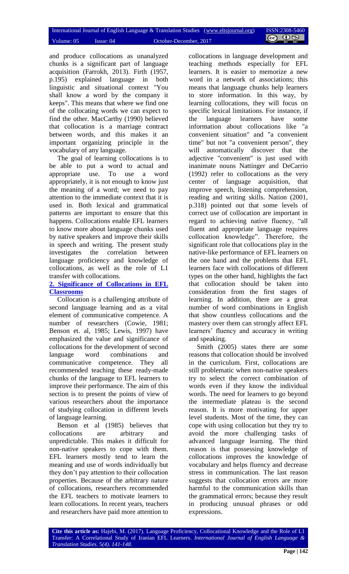and produce collocations as unanalyzed chunks is a significant part of language acquisition (Farrokh, 2013). Firth (1957, p.195) explained language in both linguistic and situational context "You shall know a word by the company it keeps". This means that where we find one of the collocating words we can expect to find the other. MacCarthy (1990) believed that collocation is a marriage contract between words, and this makes it an important organizing principle in the vocabulary of any language.

The goal of learning collocations is to be able to put a word to actual and appropriate use. To use a word appropriately, it is not enough to know just the meaning of a word; we need to pay attention to the immediate context that it is used in. Both lexical and grammatical patterns are important to ensure that this happens. Collocations enable EFL learners to know more about language chunks used by native speakers and improve their skills in speech and writing. The present study investigates the correlation between language proficiency and knowledge of collocations, as well as the role of L1 transfer with collocations.

## **2. Significance of Collocations in EFL Classrooms**

Collocation is a challenging attribute of second language learning and as a vital element of communicative competence. A number of researchers (Cowie, 1981; Benson et. al, 1985; Lewis, 1997) have emphasized the value and significance of collocations for the development of second language word combinations and communicative competence. They all recommended teaching these ready-made chunks of the language to EFL learners to improve their performance. The aim of this section is to present the points of view of various researchers about the importance of studying collocation in different levels of language learning.

Benson et al (1985) believes that collocations are arbitrary and unpredictable. This makes it difficult for non-native speakers to cope with them. EFL learners mostly tend to learn the meaning and use of words individually but they don't pay attention to their collocation properties. Because of the arbitrary nature of collocations, researchers recommended the EFL teachers to motivate learners to learn collocations. In recent years, teachers and researchers have paid more attention to collocations in language development and teaching methods especially for EFL learners. It is easier to memorize a new word in a network of associations; this means that language chunks help learners to store information. In this way, by learning collocations, they will focus on specific lexical limitations. For instance, if the language learners have some information about collocations like "a convenient situation" and "a convenient time" but not "a convenient person", they will automatically discover that the adjective "convenient" is just used with inanimate nouns Nattinger and DeCarrio (1992) refer to collocations as the very center of language acquisition, that improve speech, listening comprehension, reading and writing skills. Nation (2001, p.318) pointed out that some levels of correct use of collocation are important in regard to achieving native fluency, "all fluent and appropriate language requires collocation knowledge". Therefore, the significant role that collocations play in the native-like performance of EFL learners on the one hand and the problems that EFL learners face with collocations of different types on the other hand, highlights the fact that collocation should be taken into consideration from the first stages of learning. In addition, there are a great number of word combinations in English that show countless collocations and the mastery over them can strongly affect EFL learners' fluency and accuracy in writing and speaking.

Smith (2005) states there are some reasons that collocation should be involved in the curriculum. First, collocations are still problematic when non-native speakers try to select the correct combination of words even if they know the individual words. The need for learners to go beyond the intermediate plateau is the second reason. It is more motivating for upper level students. Most of the time, they can cope with using collocation but they try to avoid the more challenging tasks of advanced language learning. The third reason is that possessing knowledge of collocations improves the knowledge of vocabulary and helps fluency and decrease stress in communication. The last reason suggests that collocation errors are more harmful to the communication skills than the grammatical errors; because they result in producing unusual phrases or odd expressions.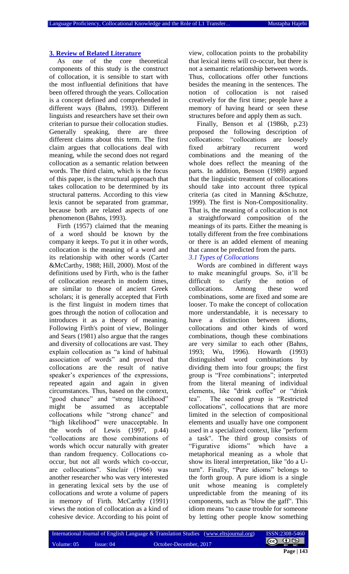#### **3. Review of Related Literature**

As one of the core theoretical components of this study is the construct of collocation, it is sensible to start with the most influential definitions that have been offered through the years. Collocation is a concept defined and comprehended in different ways (Bahns, 1993). Different linguists and researchers have set their own criterian to pursue their collocation studies. Generally speaking, there are three different claims about this term. The first claim argues that collocations deal with meaning, while the second does not regard collocation as a semantic relation between words. The third claim, which is the focus of this paper, is the structural approach that takes collocation to be determined by its structural patterns. According to this view lexis cannot be separated from grammar, because both are related aspects of one phenomenon (Bahns, 1993).

Firth (1957) claimed that the meaning of a word should be known by the company it keeps. To put it in other words, collocation is the meaning of a word and its relationship with other words (Carter &McCarthy, 1988; Hill, 2000). Most of the definitions used by Firth, who is the father of collocation research in modern times, are similar to those of ancient Greek scholars; it is generally accepted that Firth is the first linguist in modern times that goes through the notion of collocation and introduces it as a theory of meaning. Following Firth's point of view, Bolinger and Sears (1981) also argue that the ranges and diversity of collocations are vast. They explain collocation as "a kind of habitual association of words" and proved that collocations are the result of native speaker's experiences of the expressions, repeated again and again in given circumstances. Thus, based on the context, "good chance" and "strong likelihood" might be assumed as acceptable collocations while "strong chance" and "high likelihood" were unacceptable. In the words of Lewis (1997, p.44) "collocations are those combinations of words which occur naturally with greater than random frequency. Collocations cooccur, but not all words which co-occur, are collocations". Sinclair (1966) was another researcher who was very interested in generating lexical sets by the use of collocations and wrote a volume of papers in memory of Firth. McCarthy (1991) views the notion of collocation as a kind of cohesive device. According to his point of

view, collocation points to the probability that lexical items will co-occur, but there is not a semantic relationship between words. Thus, collocations offer other functions besides the meaning in the sentences. The notion of collocation is not raised creatively for the first time; people have a memory of having heard or seen these structures before and apply them as such.

Finally, Benson et al (1986b, p.23) proposed the following description of collocations: "collocations are loosely fixed arbitrary recurrent word combinations and the meaning of the whole does reflect the meaning of the parts. In addition, Benson (1989) argued that the linguistic treatment of collocations should take into account three typical criteria (as cited in Manning &Schutze, 1999). The first is Non-Compositionality. That is, the meaning of a collocation is not a straightforward composition of the meanings of its parts. Either the meaning is totally different from the free combinations or there is an added element of meaning that cannot be predicted from the parts.

*3.1 Types of Collocations*

Words are combined in different ways to make meaningful groups. So, it'll be difficult to clarify the notion of collocations. Among these word combinations, some are fixed and some are looser. To make the concept of collocation more understandable, it is necessary to have a distinction between idioms. collocations and other kinds of word combinations, though these combinations are very similar to each other (Bahns, 1993; Wu, 1996). Howarth (1993) distinguished word combinations by dividing them into four groups; the first group is "Free combinations"; interpreted from the literal meaning of individual elements, like "drink coffee" or "drink tea". The second group is "Restricted collocations", collocations that are more limited in the selection of compositional elements and usually have one component used in a specialized context, like "perform a task". The third group consists of "Figurative idioms" which have a metaphorical meaning as a whole that show its literal interpretation, like "do a Uturn". Finally, "Pure idioms" belongs to the forth group. A pure idiom is a single unit whose meaning is completely unpredictable from the meaning of its components, such as "blow the gaff". This idiom means "to cause trouble for someone by letting other people know something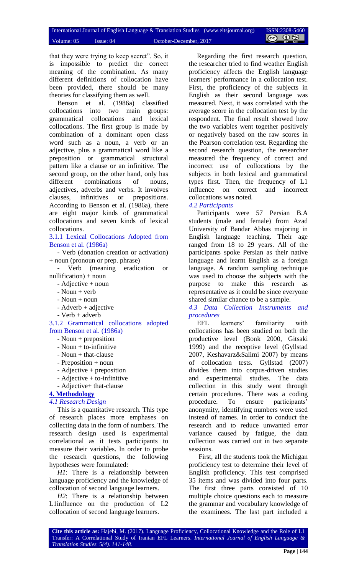that they were trying to keep secret". So, it is impossible to predict the correct meaning of the combination. As many different definitions of collocation have been provided, there should be many theories for classifying them as well.

Benson et al. (1986a) classified collocations into two main groups: grammatical collocations and lexical collocations. The first group is made by combination of a dominant open class word such as a noun, a verb or an adjective, plus a grammatical word like a preposition or grammatical structural pattern like a clause or an infinitive. The second group, on the other hand, only has different combinations of nouns, adjectives, adverbs and verbs. It involves clauses, infinitives or prepositions. According to Benson et al. (1986a), there are eight major kinds of grammatical collocations and seven kinds of lexical collocations.

3.1.1 Lexical Collocations Adopted from Benson et al. (1986a)

- Verb (donation creation or activation) + noun (pronoun or prep. phrase)

- Verb (meaning eradication or  $nullification) + noun$ 

- Adjective + noun

- $-$  Noun  $+$  verb
- Noun + noun
- Adverb + adjective
- Verb + adverb

3.1.2 Grammatical collocations adopted from Benson et al. (1986a)

- Noun + preposition
- Noun + to-infinitive
- Noun + that-clause
- Preposition + noun
- Adjective + preposition
- Adjective + to-infinitive
- Adjective+ that-clause

# **4. Methodology**

### *4.1 Research Design*

This is a quantitative research. This type of research places more emphases on collecting data in the form of numbers. The research design used is experimental correlational as it tests participants to measure their variables. In order to probe the research questions, the following hypotheses were formulated:

*H1*: There is a relationship between language proficiency and the knowledge of collocation of second language learners.

*H2*: There is a relationship between L1influence on the production of L2 collocation of second language learners.

Regarding the first research question, the researcher tried to find weather English proficiency affects the English language learners' performance in a collocation test. First, the proficiency of the subjects in English as their second language was measured. Next, it was correlated with the average score in the collocation test by the respondent. The final result showed how the two variables went together positively or negatively based on the raw scores in the Pearson correlation test. Regarding the second research question, the researcher measured the frequency of correct and incorrect use of collocations by the subjects in both lexical and grammatical types first. Then, the frequency of L1 influence on correct and incorrect collocations was noted.

## *4.2 Participants*

Participants were 57 Persian B.A students (male and female) from Azad University of Bandar Abbas majoring in English language teaching. Their age ranged from 18 to 29 years. All of the participants spoke Persian as their native language and learnt English as a foreign language. A random sampling technique was used to choose the subjects with the purpose to make this research as representative as it could be since everyone shared similar chance to be a sample.

*4.3 Data Collection Instruments and procedures* 

EFL learners' familiarity with collocations has been studied on both the productive level (Bonk 2000, Gitsaki 1999) and the receptive level (Gyllstad 2007, Keshavarz&Salimi 2007) by means of collocation tests. Gyllstad (2007) divides them into corpus-driven studies and experimental studies. The data collection in this study went through certain procedures. There was a coding procedure. To ensure participants' anonymity, identifying numbers were used instead of names. In order to conduct the research and to reduce unwanted error variance caused by fatigue, the data collection was carried out in two separate sessions.

First, all the students took the Michigan proficiency test to determine their level of English proficiency. This test comprised 35 items and was divided into four parts. The first three parts consisted of 10 multiple choice questions each to measure the grammar and vocabulary knowledge of the examinees. The last part included a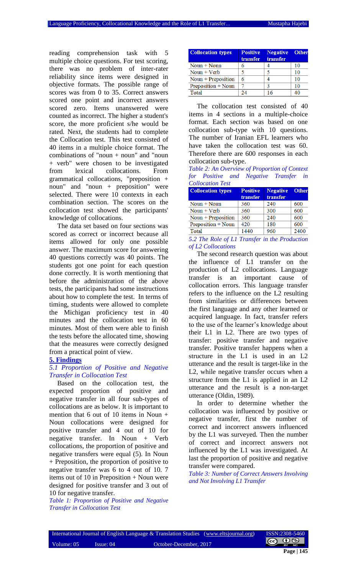reading comprehension task with 5 multiple choice questions. For test scoring, there was no problem of inter-rater reliability since items were designed in objective formats. The possible range of scores was from 0 to 35. Correct answers scored one point and incorrect answers scored zero. Items unanswered were counted as incorrect. The higher a student's score, the more proficient s/he would be rated. Next, the students had to complete the Collocation test. This test consisted of 40 items in a multiple choice format. The combinations of "noun  $+$  noun" and "noun" + verb" were chosen to be investigated from lexical collocations. From grammatical collocations, "preposition + noun" and "noun + preposition" were selected. There were 10 contexts in each combination section. The scores on the collocation test showed the participants' knowledge of collocations.

The data set based on four sections was scored as correct or incorrect because all items allowed for only one possible answer. The maximum score for answering 40 questions correctly was 40 points. The students got one point for each question done correctly. It is worth mentioning that before the administration of the above tests, the participants had some instructions about how to complete the test. In terms of timing, students were allowed to complete the Michigan proficiency test in 40 minutes and the collocation test in 60 minutes. Most of them were able to finish the tests before the allocated time, showing that the measures were correctly designed from a practical point of view.

## **5. Findings**

#### *5.1 Proportion of Positive and Negative Transfer in Collocation Test*

Based on the collocation test, the expected proportion of positive and negative transfer in all four sub-types of collocations are as below. It is important to mention that 6 out of 10 items in Noun + Noun collocations were designed for positive transfer and 4 out of 10 for negative transfer. In Noun + Verb collocations, the proportion of positive and negative transfers were equal (5). In Noun + Preposition, the proportion of positive to negative transfer was 6 to 4 out of 10. 7 items out of 10 in Preposition + Noun were designed for positive transfer and 3 out of 10 for negative transfer.

*Table 1: Proportion of Positive and Negative Transfer in Collocation Test*

| <b>Collocation types</b> | <b>Positive</b><br>transfer | <b>Negative</b><br>transfer | Other |
|--------------------------|-----------------------------|-----------------------------|-------|
| Noun $+$ Noun            |                             |                             | 10    |
| Noun $+$ Verb            |                             |                             | 10    |
| Noun + Preposition       | 6                           |                             | 10    |
| Preposition + Noun       |                             |                             | 10    |
| Total                    | 24                          | 16                          | 40    |

The collocation test consisted of 40 items in 4 sections in a multiple-choice format. Each section was based on one collocation sub-type with 10 questions. The number of Iranian EFL learners who have taken the collocation test was 60. Therefore there are 600 responses in each collocation sub-type.

*Table 2: An Overview of Proportion of Context for Positive and Negative Transfer in Collocation Test*

| <b>Collocation types</b> | <b>Positive</b> | <b>Negative</b> | <b>Other</b> |
|--------------------------|-----------------|-----------------|--------------|
|                          | transfer        | transfer        |              |
| $Noun + Noun$            | 360             | 240             | 600          |
| Noun $+$ Verb            | 360             | 300             | 600          |
| Noun + Preposition       | 360             | 240             | 600          |
| Preposition + Noun       | 420             | 180             | 600          |
| Total                    | 1440            | 960             | 2400         |

*5.2 The Role of L1 Transfer in the Production of L2 Collocations*

The second research question was about the influence of L1 transfer on the production of L2 collocations. Language transfer is an important cause of collocation errors. This language transfer refers to the influence on the L2 resulting from similarities or differences between the first language and any other learned or acquired language. In fact, transfer refers to the use of the learner's knowledge about their L1 in L2. There are two types of transfer: positive transfer and negative transfer. Positive transfer happens when a structure in the L1 is used in an L2 utterance and the result is target-like in the L2, while negative transfer occurs when a structure from the L1 is applied in an L2 utterance and the result is a non-target utterance (Oldin, 1989).

In order to determine whether the collocation was influenced by positive or negative transfer, first the number of correct and incorrect answers influenced by the L1 was surveyed. Then the number of correct and incorrect answers not influenced by the L1 was investigated. At last the proportion of positive and negative transfer were compared.

*Table 3: Number of Correct Answers Involving and Not Involving L1 Transfer*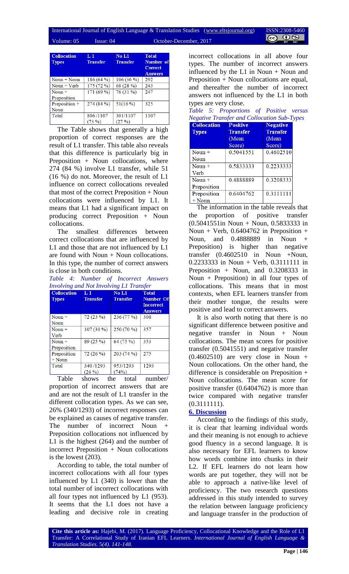#### International Journal of English Language & Translation Studies (www.eltsjournal.org) ISSN:2308- $(cc)$ Volume: 05 Issue: 04 October-December, 2017

| <b>Collocation</b><br><b>Types</b> | L1<br><b>Transfer</b> | No L1<br><b>Transfer</b> | <b>Total</b><br>Number of<br><b>Correct</b><br><b>Answers</b> |
|------------------------------------|-----------------------|--------------------------|---------------------------------------------------------------|
| $Noun + Noun$                      | 186(64%)              | 106(36%)                 | 292                                                           |
| $Noun + Verb$                      | 175 (72 %)            | 68 (28 %)                | 243                                                           |
| Noun $+$                           | 171 (69 %)            | 76 (31 %)                | 247                                                           |
| Preposition                        |                       |                          |                                                               |
| Preposition +                      | 274 (84 %)            | 51(16%)                  | 325                                                           |
| Noun                               |                       |                          |                                                               |
| Total                              | 806/1107              | 301/1107                 | 1107                                                          |
|                                    | $(73\%$               | (27%)                    |                                                               |

The Table shows that generally a high proportion of correct responses are the result of L1 transfer. This table also reveals that this difference is particularly big in Preposition + Noun collocations, where 274 (84 %) involve L1 transfer, while 51 (16 %) do not. Moreover, the result of L1 influence on correct collocations revealed that most of the correct Preposition + Noun collocations were influenced by L1. It means that L1 had a significant impact on producing correct Preposition + Noun collocations.

The smallest differences between correct collocations that are influenced by L1 and those that are not influenced by L1 are found with Noun  $+$  Noun collocations. In this type, the number of correct answers is close in both conditions.

*Table 4: Number of Incorrect Answers Involving and Not Involving L1 Transfer*

| <b>Collocation</b><br><b>Types</b> | L 1<br><b>Transfer</b> | No L1<br><b>Transfer</b> | <b>Total</b><br>Number Of<br><b>Incorrect</b><br><b>Answers</b> |
|------------------------------------|------------------------|--------------------------|-----------------------------------------------------------------|
| Noun $+$                           | 72(23%)                | 236 (77 %)               | 308                                                             |
| <b>Noun</b>                        |                        |                          |                                                                 |
| Noun $+$                           | 107 (30 %)             | 250 (70 %)               | 357                                                             |
| Verb                               |                        |                          |                                                                 |
| Noun $+$                           | 89 (25 %)              | 64 (75 %)                | 353                                                             |
| Preposition                        |                        |                          |                                                                 |
| Preposition                        | 72 (26 %)              | 203 (74 %)               | 275                                                             |
| $+$ Noun                           |                        |                          |                                                                 |
| Total                              | 340/1293               | 953/1293                 | 1293                                                            |
|                                    | $(26\%)$               | (74%)                    |                                                                 |

Table shows the total number/ proportion of incorrect answers that are and are not the result of L1 transfer in the different collocation types. As we can see, 26% (340/1293) of incorrect responses can be explained as causes of negative transfer. The number of incorrect Noun + Preposition collocations not influenced by L1 is the highest (264) and the number of incorrect Preposition + Noun collocations is the lowest (203).

According to table, the total number of incorrect collocations with all four types influenced by L1 (340) is lower than the total number of incorrect collocations with all four types not influenced by L1 (953). It seems that the L1 does not have a leading and decisive role in creating incorrect collocations in all above four types. The number of incorrect answers influenced by the  $L1$  in Noun + Noun and Preposition + Noun collocations are equal, and thereafter the number of incorrect answers not influenced by the L1 in both types are very close.

| . | Table 5: Proportions of Positive versus            |  |  |
|---|----------------------------------------------------|--|--|
|   | <b>Negative Transfer and Collocation Sub-Types</b> |  |  |

| <b>Collocation</b> | <b>Positive</b> | <b>Negative</b> |
|--------------------|-----------------|-----------------|
| <b>Types</b>       | <b>Transfer</b> | <b>Transfer</b> |
|                    | (Mean           | (Mean           |
|                    | Score)          | Score)          |
| Noun $+$           | 0.5041551       | 0.4602510       |
| Noun               |                 |                 |
| Noun $+$           | 0.5833333       | 0.2233333       |
| Verb               |                 |                 |
| Noun $+$           | 0.4888889       | 0.3208333       |
| Preposition        |                 |                 |
| Preposition        | 0.6404762       | 0.3111111       |
| $+$ Noun           |                 |                 |

The information in the table reveals that the proportion of positive transfer (0.5041551in Noun + Noun, 0.5833333 in Noun + Verb,  $0.6404762$  in Preposition + Noun, and 0.4888889 in Noun + Preposition) is higher than negative transfer  $(0.4602510$  in Noun +Noun, 0.2233333 in Noun + Verb, 0.3111111 in Preposition + Noun, and 0.3208333 in Noun + Preposition) in all four types of collocations. This means that in most contexts, when EFL learners transfer from their mother tongue, the results were positive and lead to correct answers.

It is also worth noting that there is no significant difference between positive and negative transfer in Noun + Noun collocations. The mean scores for positive transfer (0.5041551) and negative transfer (0.4602510) are very close in Noun + Noun collocations. On the other hand, the difference is considerable on Preposition + Noun collocations. The mean score for positive transfer (0.6404762) is more than twice compared with negative transfer  $(0.3111111).$ 

## **6. Discussion**

According to the findings of this study, it is clear that learning individual words and their meaning is not enough to achieve good fluency in a second language. It is also necessary for EFL learners to know how words combine into chunks in their L2. If EFL learners do not learn how words are put together, they will not be able to approach a native-like level of proficiency. The two research questions addressed in this study intended to survey the relation between language proficiency and language transfer in the production of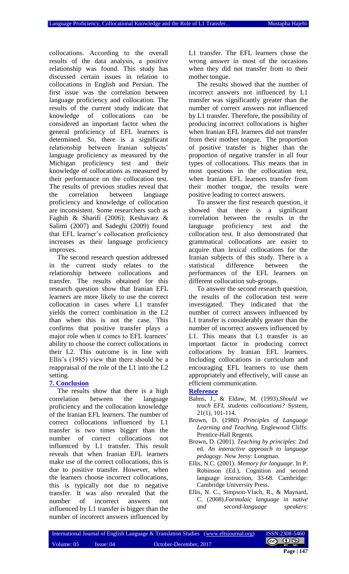collocations. According to the overall results of the data analysis, a positive relationship was found. This study has discussed certain issues in relation to collocations in English and Persian. The first issue was the correlation between language proficiency and collocation. The results of the current study indicate that knowledge of collocations can be considered an important factor when the general proficiency of EFL learners is determined. So, there is a significant relationship between Iranian subjects' language proficiency as measured by the Michigan proficiency test and their knowledge of collocations as measured by their performance on the collocation test. The results of previous studies reveal that the correlation between language proficiency and knowledge of collocation are inconsistent. Some researchers such as Faghih & Sharifi (2006); Keshavarz & Salimi (2007) and Sadeghi (2009) found that EFL learner's collocation proficiency increases as their language proficiency improves.

The second research question addressed in the current study relates to the relationship between collocations and transfer. The results obtained for this research question show that Iranian EFL learners are more likely to use the correct collocation in cases where L1 transfer yields the correct combination in the L2 than when this is not the case. This confirms that positive transfer plays a major role when it comes to EFL learners' ability to choose the correct collocations in their L2. This outcome is in line with Ellis's (1985) view that there should be a reappraisal of the role of the L1 into the L2 setting.

#### **7. Conclusion**

The results show that there is a high correlation between the language proficiency and the collocation knowledge of the Iranian EFL learners. The number of correct collocations influenced by L1 transfer is two times bigger than the number of correct collocations not influenced by L1 transfer. This result reveals that when Iranian EFL learners make use of the correct collocations, this is due to positive transfer. However, when the learners choose incorrect collocations, this is typically not due to negative transfer. It was also revealed that the number of incorrect answers not influenced by L1 transfer is bigger than the number of incorrect answers influenced by

L1 transfer. The EFL learners chose the wrong answer in most of the occasions when they did not transfer from to their mother tongue.

The results showed that the number of incorrect answers not influenced by L1 transfer was significantly greater than the number of correct answers not influenced by L1 transfer. Therefore, the possibility of producing incorrect collocations is higher when Iranian EFL learners did not transfer from their mother tongue. The proportion of positive transfer is higher than the proportion of negative transfer in all four types of collocations. This means that in most questions in the collocation test, when Iranian EFL learners transfer from their mother tongue, the results were positive leading to correct answers.

To answer the first research question, it showed that there is a significant correlation between the results in the language proficiency test and the collocation test. It also demonstrated that grammatical collocations are easier to acquire than lexical collocations for the Iranian subjects of this study. There is a statistical difference between the performances of the EFL learners on different collocation sub-groups.

To answer the second research question, the results of the collocation test were investigated. They indicated that the number of correct answers influenced by L1 transfer is considerably greater than the number of incorrect answers influenced by L1. This means that L1 transfer is an important factor in producing correct collocations by Iranian EFL learners. Including collocations in curriculum and encouraging EFL learners to use them appropriately and effectively, will cause an efficient communication.

## **Reference**

- Bahns, J., & Eldaw, M. (1993).*Should we teach EFL students collocations?* System, 21(1), 101-114.
- Brown, D. (1980) *Principles of Language Learning and Teaching.* Englewood Cliffs: Prentice-Hall Regents.
- Brown, D. (2001). *Teaching by principles*: 2nd ed. *An interactive approach to language pedagogy*. New Jersy: Longman.
- Ellis, N.C. (2001). *Memory for language*. In P. Robinson (Ed.), Cognition and second language instruction, 33-68. Cambridge: Cambridge University Press.
- Ellis, N. C., Simpson-Vlach, R., & Maynard, C. (2008).*Formulaic language in native and second-language speakers*: